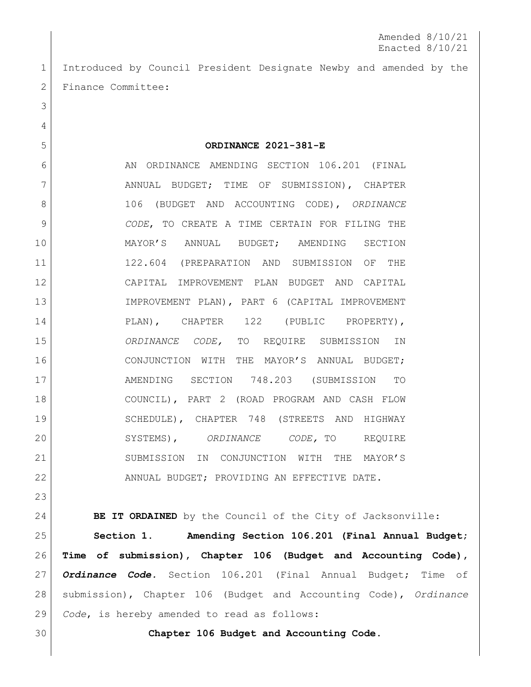Amended 8/10/21 Enacted 8/10/21

 Introduced by Council President Designate Newby and amended by the 2 Finance Committee:

6 AN ORDINANCE AMENDING SECTION 106.201 (FINAL 7 | ANNUAL BUDGET; TIME OF SUBMISSION), CHAPTER 106 (BUDGET AND ACCOUNTING CODE), *ORDINANCE CODE*, TO CREATE A TIME CERTAIN FOR FILING THE MAYOR'S ANNUAL BUDGET; AMENDING SECTION 122.604 (PREPARATION AND SUBMISSION OF THE CAPITAL IMPROVEMENT PLAN BUDGET AND CAPITAL IMPROVEMENT PLAN), PART 6 (CAPITAL IMPROVEMENT PLAN), CHAPTER 122 (PUBLIC PROPERTY), *ORDINANCE CODE,* TO REQUIRE SUBMISSION IN CONJUNCTION WITH THE MAYOR'S ANNUAL BUDGET; AMENDING SECTION 748.203 (SUBMISSION TO COUNCIL), PART 2 (ROAD PROGRAM AND CASH FLOW SCHEDULE), CHAPTER 748 (STREETS AND HIGHWAY SYSTEMS), *ORDINANCE CODE,* TO REQUIRE SUBMISSION IN CONJUNCTION WITH THE MAYOR'S 22 ANNUAL BUDGET; PROVIDING AN EFFECTIVE DATE.

**ORDINANCE 2021-381-E**

**BE IT ORDAINED** by the Council of the City of Jacksonville:

 **Section 1. Amending Section 106.201 (Final Annual Budget; Time of submission), Chapter 106 (Budget and Accounting Code),**  *Ordinance Code.* Section 106.201 (Final Annual Budget; Time of submission), Chapter 106 (Budget and Accounting Code), *Ordinance Code*, is hereby amended to read as follows:

**Chapter 106 Budget and Accounting Code.**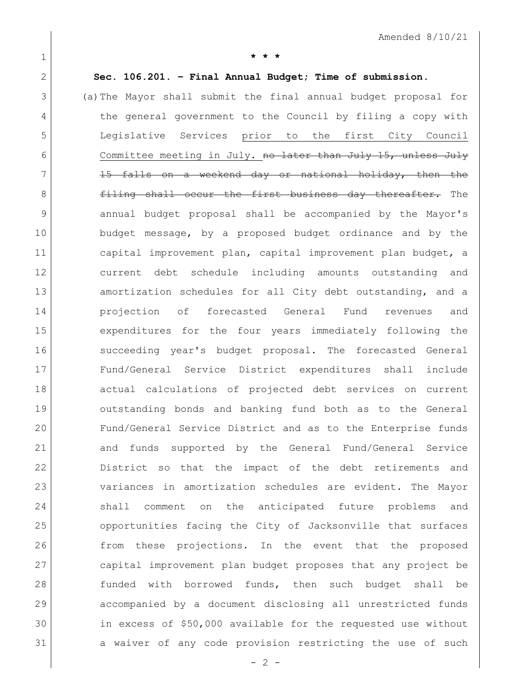**\* \* \***

**Sec. 106.201. – Final Annual Budget; Time of submission.**

 (a)The Mayor shall submit the final annual budget proposal for 4 the general government to the Council by filing a copy with Legislative Services prior to the first City Council 6 Committee meeting in July. no later than July 15, unless July 7 15 falls on a weekend day or national holiday, then the **filing shall occur the first business day thereafter.** The annual budget proposal shall be accompanied by the Mayor's 10 budget message, by a proposed budget ordinance and by the capital improvement plan, capital improvement plan budget, a current debt schedule including amounts outstanding and 13 amortization schedules for all City debt outstanding, and a projection of forecasted General Fund revenues and expenditures for the four years immediately following the succeeding year's budget proposal. The forecasted General Fund/General Service District expenditures shall include actual calculations of projected debt services on current outstanding bonds and banking fund both as to the General Fund/General Service District and as to the Enterprise funds and funds supported by the General Fund/General Service 22 District so that the impact of the debt retirements and variances in amortization schedules are evident. The Mayor shall comment on the anticipated future problems and opportunities facing the City of Jacksonville that surfaces from these projections. In the event that the proposed capital improvement plan budget proposes that any project be funded with borrowed funds, then such budget shall be accompanied by a document disclosing all unrestricted funds in excess of \$50,000 available for the requested use without a waiver of any code provision restricting the use of such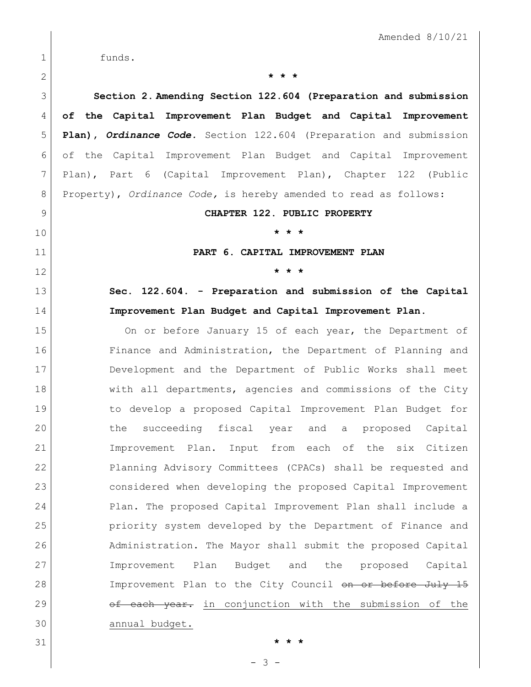|             | Amended $8/10/21$                                                  |
|-------------|--------------------------------------------------------------------|
| $\mathbf 1$ | funds.                                                             |
| 2           | * * *                                                              |
| 3           | Section 2. Amending Section 122.604 (Preparation and submission    |
| 4           | of the Capital Improvement Plan Budget and Capital Improvement     |
| 5           | Plan), Ordinance Code. Section 122.604 (Preparation and submission |
| 6           | of the Capital Improvement Plan Budget and Capital Improvement     |
| 7           | Plan), Part 6 (Capital Improvement Plan), Chapter 122 (Public      |
| 8           | Property), Ordinance Code, is hereby amended to read as follows:   |
| 9           | CHAPTER 122. PUBLIC PROPERTY                                       |
| 10          | * * *                                                              |
| 11          | PART 6. CAPITAL IMPROVEMENT PLAN                                   |
| 12          | * * *                                                              |
| 13          | Sec. 122.604. - Preparation and submission of the Capital          |
| 14          | Improvement Plan Budget and Capital Improvement Plan.              |
| 15          | On or before January 15 of each year, the Department of            |
| 16          | Finance and Administration, the Department of Planning and         |
| 17          | Development and the Department of Public Works shall meet          |
| 18          | with all departments, agencies and commissions of the City         |
| 19          | to develop a proposed Capital Improvement Plan Budget for          |
| 20          | succeeding fiscal year and a proposed Capital<br>the               |
| 21          | Improvement Plan.<br>Input from each of the six Citizen            |
| 22          | Planning Advisory Committees (CPACs) shall be requested and        |
| 23          | considered when developing the proposed Capital Improvement        |
| 24          | Plan. The proposed Capital Improvement Plan shall include a        |
| 25          | priority system developed by the Department of Finance and         |
| 26          | Administration. The Mayor shall submit the proposed Capital        |
| 27          | Plan<br>Budget and the<br>Improvement<br>proposed Capital          |
| 28          | Improvement Plan to the City Council on or before July 15          |
| 29          | of each year. in conjunction with the submission of the            |
| 30          | annual budget.                                                     |
| 31          | $\star$<br>$\star$ $\star$                                         |

- 3 -